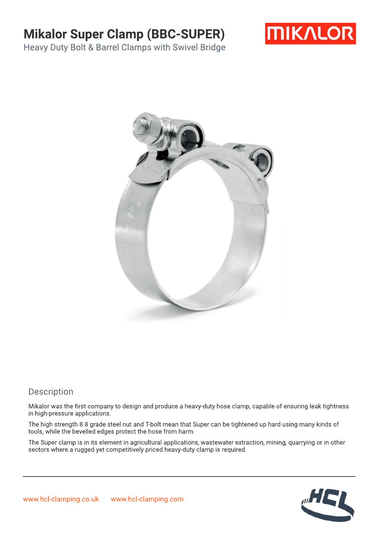## Mikalor Super Clamp (BBC-SUPER)



Heavy Duty Bolt & Barrel Clamps with Swivel Bridge



#### Description

Mikalor was the first company to design and produce a heavy-duty hose clamp, capable of ensuring leak tightness in high-pressure applications.

The high strength 8.8 grade steel nut and T-bolt mean that Super can be tightened up hard using many kinds of tools, while the bevelled edges protect the hose from harm.

The Super clamp is in its element in agricultural applications, wastewater extraction, mining,quarrying or in other sectors where a rugged yet competitively priced heavy-duty clamp is required.